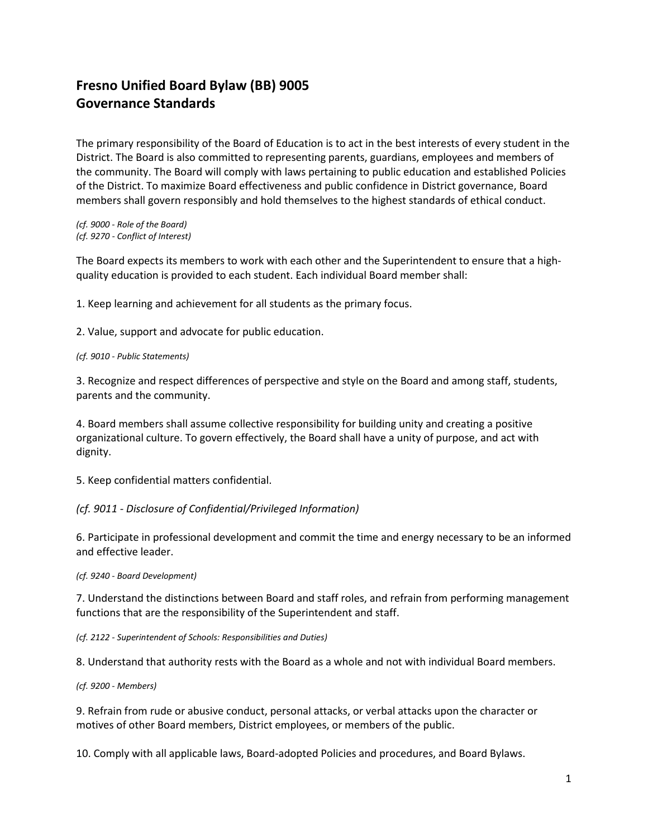# **Fresno Unified Board Bylaw (BB) 9005 Governance Standards**

The primary responsibility of the Board of Education is to act in the best interests of every student in the District. The Board is also committed to representing parents, guardians, employees and members of the community. The Board will comply with laws pertaining to public education and established Policies of the District. To maximize Board effectiveness and public confidence in District governance, Board members shall govern responsibly and hold themselves to the highest standards of ethical conduct.

*(cf. 9000 - Role of the Board) (cf. 9270 - Conflict of Interest)*

The Board expects its members to work with each other and the Superintendent to ensure that a highquality education is provided to each student. Each individual Board member shall:

1. Keep learning and achievement for all students as the primary focus.

2. Value, support and advocate for public education.

#### *(cf. 9010 - Public Statements)*

3. Recognize and respect differences of perspective and style on the Board and among staff, students, parents and the community.

4. Board members shall assume collective responsibility for building unity and creating a positive organizational culture. To govern effectively, the Board shall have a unity of purpose, and act with dignity.

5. Keep confidential matters confidential.

### *(cf. 9011 - Disclosure of Confidential/Privileged Information)*

6. Participate in professional development and commit the time and energy necessary to be an informed and effective leader.

#### *(cf. 9240 - Board Development)*

7. Understand the distinctions between Board and staff roles, and refrain from performing management functions that are the responsibility of the Superintendent and staff.

*(cf. 2122 - Superintendent of Schools: Responsibilities and Duties)* 

8. Understand that authority rests with the Board as a whole and not with individual Board members.

#### *(cf. 9200 - Members)*

9. Refrain from rude or abusive conduct, personal attacks, or verbal attacks upon the character or motives of other Board members, District employees, or members of the public.

10. Comply with all applicable laws, Board-adopted Policies and procedures, and Board Bylaws.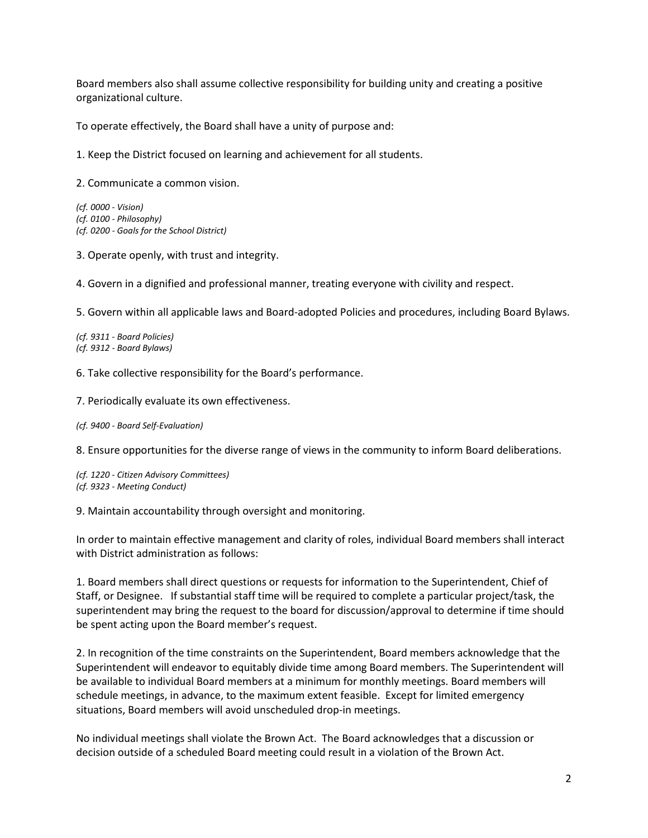Board members also shall assume collective responsibility for building unity and creating a positive organizational culture.

To operate effectively, the Board shall have a unity of purpose and:

1. Keep the District focused on learning and achievement for all students.

2. Communicate a common vision.

*(cf. 0000 - Vision) (cf. 0100 - Philosophy) (cf. 0200 - Goals for the School District)*

3. Operate openly, with trust and integrity.

4. Govern in a dignified and professional manner, treating everyone with civility and respect.

5. Govern within all applicable laws and Board-adopted Policies and procedures, including Board Bylaws.

*(cf. 9311 - Board Policies) (cf. 9312 - Board Bylaws)*

6. Take collective responsibility for the Board's performance.

7. Periodically evaluate its own effectiveness.

*(cf. 9400 - Board Self-Evaluation)*

8. Ensure opportunities for the diverse range of views in the community to inform Board deliberations.

*(cf. 1220 - Citizen Advisory Committees) (cf. 9323 - Meeting Conduct)*

9. Maintain accountability through oversight and monitoring.

In order to maintain effective management and clarity of roles, individual Board members shall interact with District administration as follows:

1. Board members shall direct questions or requests for information to the Superintendent, Chief of Staff, or Designee. If substantial staff time will be required to complete a particular project/task, the superintendent may bring the request to the board for discussion/approval to determine if time should be spent acting upon the Board member's request.

2. In recognition of the time constraints on the Superintendent, Board members acknowledge that the Superintendent will endeavor to equitably divide time among Board members. The Superintendent will be available to individual Board members at a minimum for monthly meetings. Board members will schedule meetings, in advance, to the maximum extent feasible. Except for limited emergency situations, Board members will avoid unscheduled drop-in meetings.

No individual meetings shall violate the Brown Act. The Board acknowledges that a discussion or decision outside of a scheduled Board meeting could result in a violation of the Brown Act.